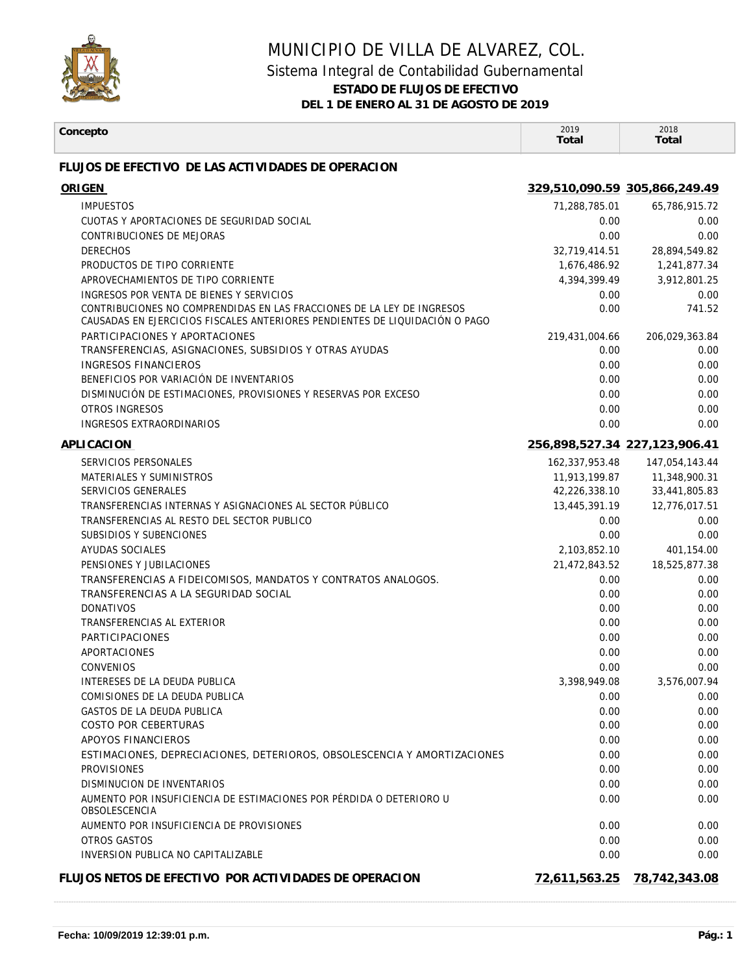

## MUNICIPIO DE VILLA DE ALVAREZ, COL.

## Sistema Integral de Contabilidad Gubernamental

**ESTADO DE FLUJOS DE EFECTIVO**

**DEL 1 DE ENERO AL 31 DE AGOSTO DE 2019**

| Concepto                                                                                                                                              | 2019<br>Total                 | 2018<br>Total        |
|-------------------------------------------------------------------------------------------------------------------------------------------------------|-------------------------------|----------------------|
| FLUJOS DE EFECTIVO DE LAS ACTIVIDADES DE OPERACION                                                                                                    |                               |                      |
| <b>ORIGEN</b>                                                                                                                                         | 329,510,090.59 305,866,249.49 |                      |
| <b>IMPUESTOS</b>                                                                                                                                      | 71,288,785.01                 | 65,786,915.72        |
| CUOTAS Y APORTACIONES DE SEGURIDAD SOCIAL                                                                                                             | 0.00                          | 0.00                 |
| CONTRIBUCIONES DE MEJORAS                                                                                                                             | 0.00                          | 0.00                 |
| <b>DERECHOS</b>                                                                                                                                       | 32,719,414.51                 | 28,894,549.82        |
| PRODUCTOS DE TIPO CORRIENTE                                                                                                                           | 1,676,486.92                  | 1,241,877.34         |
| APROVECHAMIENTOS DE TIPO CORRIENTE                                                                                                                    | 4,394,399.49                  | 3,912,801.25         |
| INGRESOS POR VENTA DE BIENES Y SERVICIOS                                                                                                              | 0.00                          | 0.00                 |
| CONTRIBUCIONES NO COMPRENDIDAS EN LAS FRACCIONES DE LA LEY DE INGRESOS<br>CAUSADAS EN EJERCICIOS FISCALES ANTERIORES PENDIENTES DE LIQUIDACIÓN O PAGO | 0.00                          | 741.52               |
| PARTICIPACIONES Y APORTACIONES                                                                                                                        | 219,431,004.66                | 206,029,363.84       |
| TRANSFERENCIAS, ASIGNACIONES, SUBSIDIOS Y OTRAS AYUDAS                                                                                                | 0.00                          | 0.00                 |
| <b>INGRESOS FINANCIEROS</b>                                                                                                                           | 0.00                          | 0.00                 |
| BENEFICIOS POR VARIACIÓN DE INVENTARIOS                                                                                                               | 0.00                          | 0.00                 |
| DISMINUCIÓN DE ESTIMACIONES, PROVISIONES Y RESERVAS POR EXCESO                                                                                        | 0.00                          | 0.00                 |
| <b>OTROS INGRESOS</b>                                                                                                                                 | 0.00                          | 0.00                 |
| <b>INGRESOS EXTRAORDINARIOS</b>                                                                                                                       | 0.00                          | 0.00                 |
| APLICACION                                                                                                                                            | 256,898,527.34 227,123,906.41 |                      |
| SERVICIOS PERSONALES                                                                                                                                  | 162,337,953.48                | 147,054,143.44       |
| MATERIALES Y SUMINISTROS                                                                                                                              | 11,913,199.87                 | 11,348,900.31        |
| SERVICIOS GENERALES                                                                                                                                   | 42,226,338.10                 | 33,441,805.83        |
| TRANSFERENCIAS INTERNAS Y ASIGNACIONES AL SECTOR PUBLICO                                                                                              | 13,445,391.19                 | 12,776,017.51        |
| TRANSFERENCIAS AL RESTO DEL SECTOR PUBLICO                                                                                                            | 0.00                          | 0.00                 |
| SUBSIDIOS Y SUBENCIONES                                                                                                                               | 0.00                          | 0.00                 |
| AYUDAS SOCIALES                                                                                                                                       | 2,103,852.10                  | 401,154.00           |
| PENSIONES Y JUBILACIONES                                                                                                                              | 21,472,843.52                 | 18,525,877.38        |
| TRANSFERENCIAS A FIDEICOMISOS, MANDATOS Y CONTRATOS ANALOGOS.                                                                                         | 0.00                          | 0.00                 |
| TRANSFERENCIAS A LA SEGURIDAD SOCIAL                                                                                                                  | 0.00                          | 0.00                 |
| <b>DONATIVOS</b>                                                                                                                                      | 0.00                          | 0.00                 |
| TRANSFERENCIAS AL EXTERIOR                                                                                                                            | 0.00                          | 0.00                 |
| PARTICIPACIONES<br><b>APORTACIONES</b>                                                                                                                | 0.00                          | 0.00                 |
| <b>CONVENIOS</b>                                                                                                                                      | 0.00<br>0.00                  | 0.00<br>0.00         |
| INTERESES DE LA DEUDA PUBLICA                                                                                                                         |                               |                      |
| COMISIONES DE LA DEUDA PUBLICA                                                                                                                        | 3,398,949.08<br>0.00          | 3,576,007.94<br>0.00 |
| GASTOS DE LA DEUDA PUBLICA                                                                                                                            | 0.00                          | 0.00                 |
| COSTO POR CEBERTURAS                                                                                                                                  | 0.00                          | 0.00                 |
| APOYOS FINANCIEROS                                                                                                                                    | 0.00                          | 0.00                 |
| ESTIMACIONES, DEPRECIACIONES, DETERIOROS, OBSOLESCENCIA Y AMORTIZACIONES                                                                              | 0.00                          | 0.00                 |
| <b>PROVISIONES</b>                                                                                                                                    | 0.00                          | 0.00                 |
| DISMINUCION DE INVENTARIOS                                                                                                                            | 0.00                          | 0.00                 |
| AUMENTO POR INSUFICIENCIA DE ESTIMACIONES POR PÉRDIDA O DETERIORO U                                                                                   | 0.00                          | 0.00                 |
| <b>OBSOLESCENCIA</b>                                                                                                                                  |                               |                      |
| AUMENTO POR INSUFICIENCIA DE PROVISIONES                                                                                                              | 0.00                          | 0.00                 |
| OTROS GASTOS<br>INVERSION PUBLICA NO CAPITALIZABLE                                                                                                    | 0.00<br>0.00                  | 0.00<br>0.00         |
|                                                                                                                                                       |                               |                      |
| FLUJOS NETOS DE EFECTIVO POR ACTIVIDADES DE OPERACION                                                                                                 | 72,611,563.25                 | 78,742,343.08        |